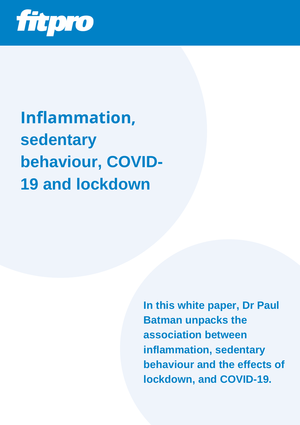

**Inflammation, sedentary behaviour, COVID-19 and lockdown**

> **In this white paper, Dr Paul Batman unpacks the association between inflammation, sedentary behaviour and the effects of lockdown, and COVID-19.**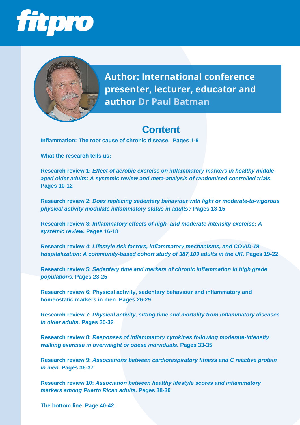



**Author: International conference presenter, lecturer, educator and author Dr Paul Batman**

# **Content**

**Inflammation: The root cause of chronic disease. Pages 1-9**

**What the research tells us:**

**Research review 1:** *Effect of aerobic exercise on inflammatory markers in healthy middleaged older adults: A systemic review and meta-analysis of randomised controlled trials.* **Pages 10-12**

**Research review 2:** *Does replacing sedentary behaviour with light or moderate-to-vigorous physical activity modulate inflammatory status in adults?* **Pages 13-15**

**Research review 3:** *Inflammatory effects of high- and moderate-intensity exercise: A systemic review.* **Pages 16-18**

**Research review 4:** *Lifestyle risk factors, inflammatory mechanisms, and COVID-19 hospitalization: A community-based cohort study of 387,109 adults in the UK.* **Pages 19-22**

**Research review 5:** *Sedentary time and markers of chronic inflammation in high grade populations.* **Pages 23-25**

**Research review 6: Physical activity, sedentary behaviour and inflammatory and homeostatic markers in men. Pages 26-29**

**Research review 7:** *Physical activity, sitting time and mortality from inflammatory diseases in older adults.* **Pages 30-32**

**Research review 8:** *Responses of inflammatory cytokines following moderate-intensity walking exercise in overweight or obese individuals.* **Pages 33-35**

**Research review 9:** *Associations between cardiorespiratory fitness and C reactive protein in men.* **Pages 36-37**

**Research review 10:** *Association between healthy lifestyle scores and inflammatory markers among Puerto Rican adults.* **Pages 38-39**

**The bottom line. Page 40-42**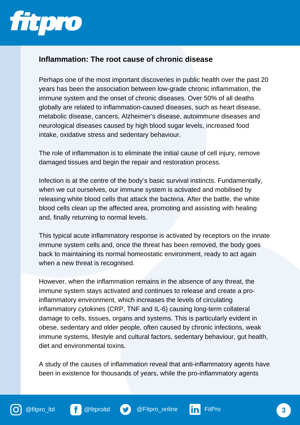

#### **Inflammation: The root cause of chronic disease**

Perhaps one of the most important discoveries in public health over the past 20 years has been the association between low-grade chronic inflammation, the immune system and the onset of chronic diseases. Over 50% of all deaths globally are related to inflammation-caused diseases, such as heart disease, metabolic disease, cancers, Alzheimer's disease, autoimmune diseases and neurological diseases caused by high blood sugar levels, increased food intake, oxidative stress and sedentary behaviour.

The role of inflammation is to eliminate the initial cause of cell injury, remove damaged tissues and begin the repair and restoration process.

Infection is at the centre of the body's basic survival instincts. Fundamentally, when we cut ourselves, our immune system is activated and mobilised by releasing white blood cells that attack the bacteria. After the battle, the white blood cells clean up the affected area, promoting and assisting with healing and, finally returning to normal levels.

This typical acute inflammatory response is activated by receptors on the innate immune system cells and, once the threat has been removed, the body goes back to maintaining its normal homeostatic environment, ready to act again when a new threat is recognised.

However, when the inflammation remains in the absence of any threat, the immune system stays activated and continues to release and create a proinflammatory environment, which increases the levels of circulating inflammatory cytokines (CRP, TNF and IL-6) causing long-term collateral damage to cells, tissues, organs and systems. This is particularly evident in obese, sedentary and older people, often caused by chronic infections, weak immune systems, lifestyle and cultural factors, sedentary behaviour, gut health, diet and environmental toxins.

A study of the causes of inflammation reveal that anti-inflammatory agents have been in existence for thousands of years, while the pro-inflammatory agents



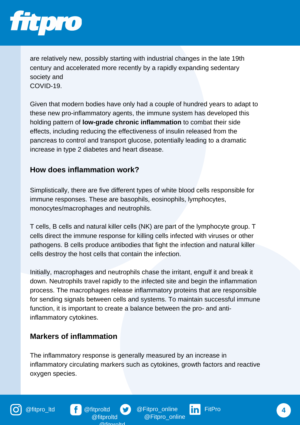

are relatively new, possibly starting with industrial changes in the late 19th century and accelerated more recently by a rapidly expanding sedentary society and COVID-19.

Given that modern bodies have only had a couple of hundred years to adapt to these new pro-inflammatory agents, the immune system has developed this holding pattern of **low-grade chronic inflammation** to combat their side effects, including reducing the effectiveness of insulin released from the pancreas to control and transport glucose, potentially leading to a dramatic increase in type 2 diabetes and heart disease.

# **How does inflammation work?**

Simplistically, there are five different types of white blood cells responsible for immune responses. These are basophils, eosinophils, lymphocytes, monocytes/macrophages and neutrophils.

T cells, B cells and natural killer cells (NK) are part of the lymphocyte group. T cells direct the immune response for killing cells infected with viruses or other pathogens. B cells produce antibodies that fight the infection and natural killer cells destroy the host cells that contain the infection.

Initially, macrophages and neutrophils chase the irritant, engulf it and break it down. Neutrophils travel rapidly to the infected site and begin the inflammation process. The macrophages release inflammatory proteins that are responsible for sending signals between cells and systems. To maintain successful immune function, it is important to create a balance between the pro- and antiinflammatory cytokines.

## **Markers of inflammation**

The inflammatory response is generally measured by an increase in inflammatory circulating markers such as cytokines, growth factors and reactive oxygen species.



@fitpro\_ltd **f** @fitproltd **S** @Fitpro\_online in FitPro @Fitpro\_online

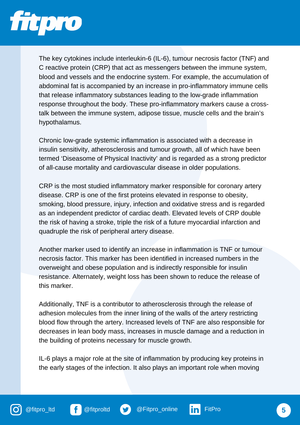

The key cytokines include interleukin-6 (IL-6), tumour necrosis factor (TNF) and C reactive protein (CRP) that act as messengers between the immune system, blood and vessels and the endocrine system. For example, the accumulation of abdominal fat is accompanied by an increase in pro-inflammatory immune cells that release inflammatory substances leading to the low-grade inflammation response throughout the body. These pro-inflammatory markers cause a crosstalk between the immune system, adipose tissue, muscle cells and the brain's hypothalamus.

Chronic low-grade systemic inflammation is associated with a decrease in insulin sensitivity, atherosclerosis and tumour growth, all of which have been termed 'Diseasome of Physical Inactivity' and is regarded as a strong predictor of all-cause mortality and cardiovascular disease in older populations.

CRP is the most studied inflammatory marker responsible for coronary artery disease. CRP is one of the first proteins elevated in response to obesity, smoking, blood pressure, injury, infection and oxidative stress and is regarded as an independent predictor of cardiac death. Elevated levels of CRP double the risk of having a stroke, triple the risk of a future myocardial infarction and quadruple the risk of peripheral artery disease.

Another marker used to identify an increase in inflammation is TNF or tumour necrosis factor. This marker has been identified in increased numbers in the overweight and obese population and is indirectly responsible for insulin resistance. Alternately, weight loss has been shown to reduce the release of this marker.

Additionally, TNF is a contributor to atherosclerosis through the release of adhesion molecules from the inner lining of the walls of the artery restricting blood flow through the artery. Increased levels of TNF are also responsible for decreases in lean body mass, increases in muscle damage and a reduction in the building of proteins necessary for muscle growth.

IL-6 plays a major role at the site of inflammation by producing key proteins in the early stages of the infection. It also plays an important role when moving





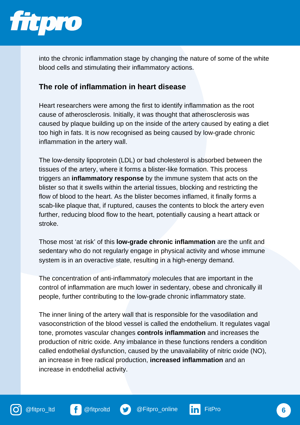

into the chronic inflammation stage by changing the nature of some of the white blood cells and stimulating their inflammatory actions.

#### **The role of inflammation in heart disease**

Heart researchers were among the first to identify inflammation as the root cause of atherosclerosis. Initially, it was thought that atherosclerosis was caused by plaque building up on the inside of the artery caused by eating a diet too high in fats. It is now recognised as being caused by low-grade chronic inflammation in the artery wall.

The low-density lipoprotein (LDL) or bad cholesterol is absorbed between the tissues of the artery, where it forms a blister-like formation. This process triggers an **inflammatory response** by the immune system that acts on the blister so that it swells within the arterial tissues, blocking and restricting the flow of blood to the heart. As the blister becomes inflamed, it finally forms a scab-like plaque that, if ruptured, causes the contents to block the artery even further, reducing blood flow to the heart, potentially causing a heart attack or stroke.

Those most 'at risk' of this **low-grade chronic inflammation** are the unfit and sedentary who do not regularly engage in physical activity and whose immune system is in an overactive state, resulting in a high-energy demand.

The concentration of anti-inflammatory molecules that are important in the control of inflammation are much lower in sedentary, obese and chronically ill people, further contributing to the low-grade chronic inflammatory state.

The inner lining of the artery wall that is responsible for the vasodilation and vasoconstriction of the blood vessel is called the endothelium. It regulates vagal tone, promotes vascular changes **controls inflammation** and increases the production of nitric oxide. Any imbalance in these functions renders a condition called endothelial dysfunction, caused by the unavailability of nitric oxide (NO), an increase in free radical production, **increased inflammation** and an increase in endothelial activity.





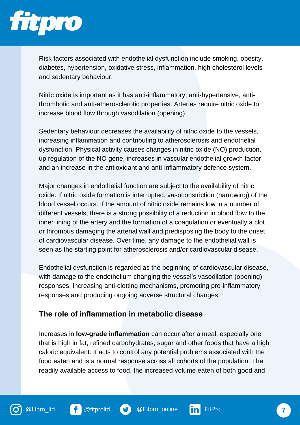

Risk factors associated with endothelial dysfunction include smoking, obesity, diabetes, hypertension, oxidative stress, inflammation, high cholesterol levels and sedentary behaviour.

Nitric oxide is important as it has anti-inflammatory, anti-hypertensive, antithrombotic and anti-atherosclerotic properties. Arteries require nitric oxide to increase blood flow through vasodilation (opening).

Sedentary behaviour decreases the availability of nitric oxide to the vessels, increasing inflammation and contributing to atherosclerosis and endothelial dysfunction. Physical activity causes changes in nitric oxide (NO) production, up regulation of the NO gene, increases in vascular endothelial growth factor and an increase in the antioxidant and anti-inflammatory defence system.

Major changes in endothelial function are subject to the availability of nitric oxide. If nitric oxide formation is interrupted, vasoconstriction (narrowing) of the blood vessel occurs. If the amount of nitric oxide remains low in a number of different vessels, there is a strong possibility of a reduction in blood flow to the inner lining of the artery and the formation of a coagulation or eventually a clot or thrombus damaging the arterial wall and predisposing the body to the onset of cardiovascular disease. Over time, any damage to the endothelial wall is seen as the starting point for atherosclerosis and/or cardiovascular disease.

Endothelial dysfunction is regarded as the beginning of cardiovascular disease, with damage to the endothelium changing the vessel's vasodilation (opening) responses, increasing anti-clotting mechanisms, promoting pro-inflammatory responses and producing ongoing adverse structural changes.

## **The role of inflammation in metabolic disease**

Increases in **low-grade inflammation** can occur after a meal, especially one that is high in fat, refined carbohydrates, sugar and other foods that have a high caloric equivalent. It acts to control any potential problems associated with the food eaten and is a normal response across all cohorts of the population. The readily available access to food, the increased volume eaten of both good and





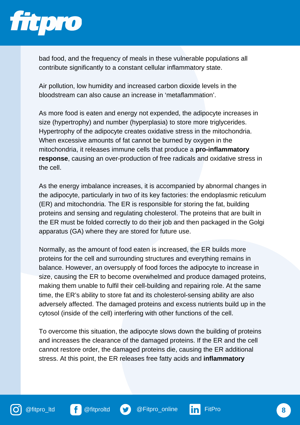

bad food, and the frequency of meals in these vulnerable populations all contribute significantly to a constant cellular inflammatory state.

Air pollution, low humidity and increased carbon dioxide levels in the bloodstream can also cause an increase in 'metaflammation'.

As more food is eaten and energy not expended, the adipocyte increases in size (hypertrophy) and number (hyperplasia) to store more triglycerides. Hypertrophy of the adipocyte creates oxidative stress in the mitochondria. When excessive amounts of fat cannot be burned by oxygen in the mitochondria, it releases immune cells that produce a **pro-inflammatory response**, causing an over-production of free radicals and oxidative stress in the cell.

As the energy imbalance increases, it is accompanied by abnormal changes in the adipocyte, particularly in two of its key factories: the endoplasmic reticulum (ER) and mitochondria. The ER is responsible for storing the fat, building proteins and sensing and regulating cholesterol. The proteins that are built in the ER must be folded correctly to do their job and then packaged in the Golgi apparatus (GA) where they are stored for future use.

Normally, as the amount of food eaten is increased, the ER builds more proteins for the cell and surrounding structures and everything remains in balance. However, an oversupply of food forces the adipocyte to increase in size, causing the ER to become overwhelmed and produce damaged proteins, making them unable to fulfil their cell-building and repairing role. At the same time, the ER's ability to store fat and its cholesterol-sensing ability are also adversely affected. The damaged proteins and excess nutrients build up in the cytosol (inside of the cell) interfering with other functions of the cell.

To overcome this situation, the adipocyte slows down the building of proteins and increases the clearance of the damaged proteins. If the ER and the cell cannot restore order, the damaged proteins die, causing the ER additional stress. At this point, the ER releases free fatty acids and **inflammatory**



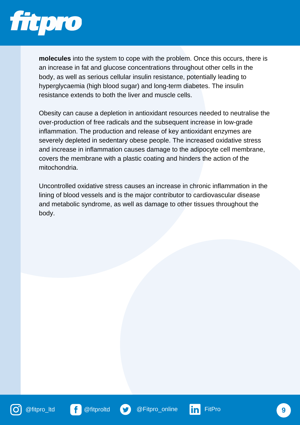

**molecules** into the system to cope with the problem. Once this occurs, there is an increase in fat and glucose concentrations throughout other cells in the body, as well as serious cellular insulin resistance, potentially leading to hyperglycaemia (high blood sugar) and long-term diabetes. The insulin resistance extends to both the liver and muscle cells.

Obesity can cause a depletion in antioxidant resources needed to neutralise the over-production of free radicals and the subsequent increase in low-grade inflammation. The production and release of key antioxidant enzymes are severely depleted in sedentary obese people. The increased oxidative stress and increase in inflammation causes damage to the adipocyte cell membrane, covers the membrane with a plastic coating and hinders the action of the mitochondria.

Uncontrolled oxidative stress causes an increase in chronic inflammation in the lining of blood vessels and is the major contributor to cardiovascular disease and metabolic syndrome, as well as damage to other tissues throughout the body.





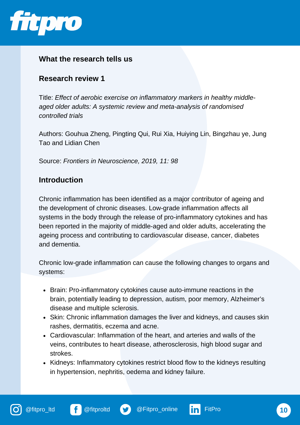

## **What the research tells us**

#### **Research review 1**

Title: *Effect of aerobic exercise on inflammatory markers in healthy middleaged older adults: A systemic review and meta-analysis of randomised controlled trials*

Authors: Gouhua Zheng, Pingting Qui, Rui Xia, Huiying Lin, Bingzhau ye, Jung Tao and Lidian Chen

Source: *Frontiers in Neuroscience, 2019, 11: 98*

#### **Introduction**

Chronic inflammation has been identified as a major contributor of ageing and the development of chronic diseases. Low-grade inflammation affects all systems in the body through the release of pro-inflammatory cytokines and has been reported in the majority of middle-aged and older adults, accelerating the ageing process and contributing to cardiovascular disease, cancer, diabetes and dementia.

Chronic low-grade inflammation can cause the following changes to organs and systems:

- Brain: Pro-inflammatory cytokines cause auto-immune reactions in the brain, potentially leading to depression, autism, poor memory, Alzheimer's disease and multiple sclerosis.
- Skin: Chronic inflammation damages the liver and kidneys, and causes skin rashes, dermatitis, eczema and acne.
- Cardiovascular: Inflammation of the heart, and arteries and walls of the veins, contributes to heart disease, atherosclerosis, high blood sugar and strokes.
- Kidneys: Inflammatory cytokines restrict blood flow to the kidneys resulting in hypertension, nephritis, oedema and kidney failure.



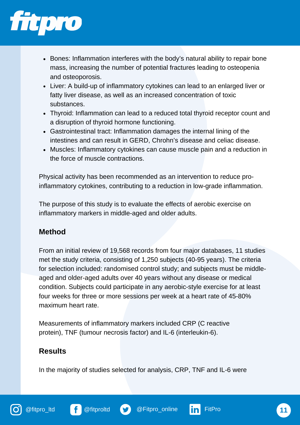

- Bones: Inflammation interferes with the body's natural ability to repair bone mass, increasing the number of potential fractures leading to osteopenia and osteoporosis.
- Liver: A build-up of inflammatory cytokines can lead to an enlarged liver or fatty liver disease, as well as an increased concentration of toxic substances.
- Thyroid: Inflammation can lead to a reduced total thyroid receptor count and a disruption of thyroid hormone functioning.
- Gastrointestinal tract: Inflammation damages the internal lining of the intestines and can result in GERD, Chrohn's disease and celiac disease.
- Muscles: Inflammatory cytokines can cause muscle pain and a reduction in the force of muscle contractions.

Physical activity has been recommended as an intervention to reduce proinflammatory cytokines, contributing to a reduction in low-grade inflammation.

The purpose of this study is to evaluate the effects of aerobic exercise on inflammatory markers in middle-aged and older adults.

## **Method**

From an initial review of 19,568 records from four major databases, 11 studies met the study criteria, consisting of 1,250 subjects (40-95 years). The criteria for selection included: randomised control study; and subjects must be middleaged and older-aged adults over 40 years without any disease or medical condition. Subjects could participate in any aerobic-style exercise for at least four weeks for three or more sessions per week at a heart rate of 45-80% maximum heart rate.

Measurements of inflammatory markers included CRP (C reactive protein), TNF (tumour necrosis factor) and IL-6 (interleukin-6).

# **Results**

In the majority of studies selected for analysis, CRP, TNF and IL-6 were

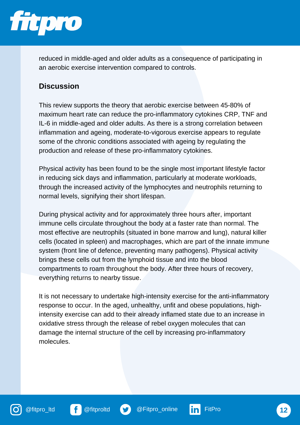

reduced in middle-aged and older adults as a consequence of participating in an aerobic exercise intervention compared to controls.

# **Discussion**

This review supports the theory that aerobic exercise between 45-80% of maximum heart rate can reduce the pro-inflammatory cytokines CRP, TNF and IL-6 in middle-aged and older adults. As there is a strong correlation between inflammation and ageing, moderate-to-vigorous exercise appears to regulate some of the chronic conditions associated with ageing by regulating the production and release of these pro-inflammatory cytokines.

Physical activity has been found to be the single most important lifestyle factor in reducing sick days and inflammation, particularly at moderate workloads, through the increased activity of the lymphocytes and neutrophils returning to normal levels, signifying their short lifespan.

During physical activity and for approximately three hours after, important immune cells circulate throughout the body at a faster rate than normal. The most effective are neutrophils (situated in bone marrow and lung), natural killer cells (located in spleen) and macrophages, which are part of the innate immune system (front line of defence, preventing many pathogens). Physical activity brings these cells out from the lymphoid tissue and into the blood compartments to roam throughout the body. After three hours of recovery, everything returns to nearby tissue.

It is not necessary to undertake high-intensity exercise for the anti-inflammatory response to occur. In the aged, unhealthy, unfit and obese populations, highintensity exercise can add to their already inflamed state due to an increase in oxidative stress through the release of rebel oxygen molecules that can damage the internal structure of the cell by increasing pro-inflammatory molecules.





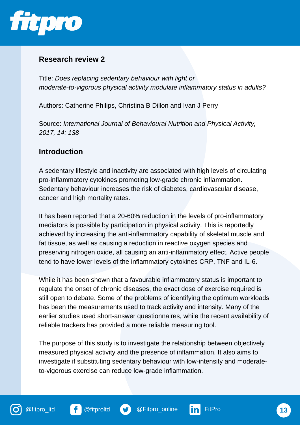

Title: *Does replacing sedentary behaviour with light or moderate-to-vigorous physical activity modulate inflammatory status in adults?*

Authors: Catherine Philips, Christina B Dillon and Ivan J Perry

Source: *International Journal of Behavioural Nutrition and Physical Activity, 2017, 14: 138*

#### **Introduction**

A sedentary lifestyle and inactivity are associated with high levels of circulating pro-inflammatory cytokines promoting low-grade chronic inflammation. Sedentary behaviour increases the risk of diabetes, cardiovascular disease, cancer and high mortality rates.

It has been reported that a 20-60% reduction in the levels of pro-inflammatory mediators is possible by participation in physical activity. This is reportedly achieved by increasing the anti-inflammatory capability of skeletal muscle and fat tissue, as well as causing a reduction in reactive oxygen species and preserving nitrogen oxide, all causing an anti-inflammatory effect. Active people tend to have lower levels of the inflammatory cytokines CRP, TNF and IL-6.

While it has been shown that a favourable inflammatory status is important to regulate the onset of chronic diseases, the exact dose of exercise required is still open to debate. Some of the problems of identifying the optimum workloads has been the measurements used to track activity and intensity. Many of the earlier studies used short-answer questionnaires, while the recent availability of reliable trackers has provided a more reliable measuring tool.

The purpose of this study is to investigate the relationship between objectively measured physical activity and the presence of inflammation. It also aims to investigate if substituting sedentary behaviour with low-intensity and moderateto-vigorous exercise can reduce low-grade inflammation.







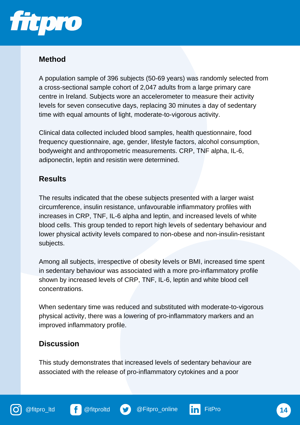

## **Method**

A population sample of 396 subjects (50-69 years) was randomly selected from a cross-sectional sample cohort of 2,047 adults from a large primary care centre in Ireland. Subjects wore an accelerometer to measure their activity levels for seven consecutive days, replacing 30 minutes a day of sedentary time with equal amounts of light, moderate-to-vigorous activity.

Clinical data collected included blood samples, health questionnaire, food frequency questionnaire, age, gender, lifestyle factors, alcohol consumption, bodyweight and anthropometric measurements. CRP, TNF alpha, IL-6, adiponectin, leptin and resistin were determined.

# **Results**

The results indicated that the obese subjects presented with a larger waist circumference, insulin resistance, unfavourable inflammatory profiles with increases in CRP, TNF, IL-6 alpha and leptin, and increased levels of white blood cells. This group tended to report high levels of sedentary behaviour and lower physical activity levels compared to non-obese and non-insulin-resistant subjects.

Among all subjects, irrespective of obesity levels or BMI, increased time spent in sedentary behaviour was associated with a more pro-inflammatory profile shown by increased levels of CRP, TNF, IL-6, leptin and white blood cell concentrations.

When sedentary time was reduced and substituted with moderate-to-vigorous physical activity, there was a lowering of pro-inflammatory markers and an improved inflammatory profile.

# **Discussion**

This study demonstrates that increased levels of sedentary behaviour are associated with the release of pro-inflammatory cytokines and a poor









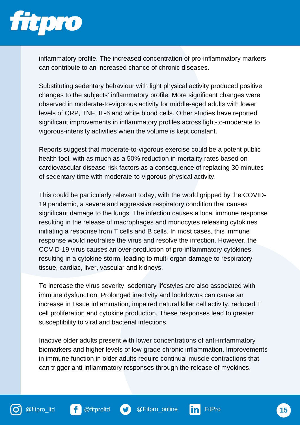

inflammatory profile. The increased concentration of pro-inflammatory markers can contribute to an increased chance of chronic diseases.

Substituting sedentary behaviour with light physical activity produced positive changes to the subjects' inflammatory profile. More significant changes were observed in moderate-to-vigorous activity for middle-aged adults with lower levels of CRP, TNF, IL-6 and white blood cells. Other studies have reported significant improvements in inflammatory profiles across light-to-moderate to vigorous-intensity activities when the volume is kept constant.

Reports suggest that moderate-to-vigorous exercise could be a potent public health tool, with as much as a 50% reduction in mortality rates based on cardiovascular disease risk factors as a consequence of replacing 30 minutes of sedentary time with moderate-to-vigorous physical activity.

This could be particularly relevant today, with the world gripped by the COVID-19 pandemic, a severe and aggressive respiratory condition that causes significant damage to the lungs. The infection causes a local immune response resulting in the release of macrophages and monocytes releasing cytokines initiating a response from T cells and B cells. In most cases, this immune response would neutralise the virus and resolve the infection. However, the COVID-19 virus causes an over-production of pro-inflammatory cytokines, resulting in a cytokine storm, leading to multi-organ damage to respiratory tissue, cardiac, liver, vascular and kidneys.

To increase the virus severity, sedentary lifestyles are also associated with immune dysfunction. Prolonged inactivity and lockdowns can cause an increase in tissue inflammation, impaired natural killer cell activity, reduced T cell proliferation and cytokine production. These responses lead to greater susceptibility to viral and bacterial infections.

Inactive older adults present with lower concentrations of anti-inflammatory biomarkers and higher levels of low-grade chronic inflammation. Improvements in immune function in older adults require continual muscle contractions that can trigger anti-inflammatory responses through the release of myokines.





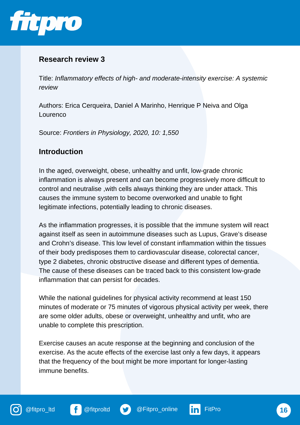

Title: *Inflammatory effects of high- and moderate-intensity exercise: A systemic review*

Authors: Erica Cerqueira, Daniel A Marinho, Henrique P Neiva and Olga Lourenco

Source: *Frontiers in Physiology, 2020, 10: 1,550*

#### **Introduction**

In the aged, overweight, obese, unhealthy and unfit, low-grade chronic inflammation is always present and can become progressively more difficult to control and neutralise ,with cells always thinking they are under attack. This causes the immune system to become overworked and unable to fight legitimate infections, potentially leading to chronic diseases.

As the inflammation progresses, it is possible that the immune system will react against itself as seen in autoimmune diseases such as Lupus, Grave's disease and Crohn's disease. This low level of constant inflammation within the tissues of their body predisposes them to cardiovascular disease, colorectal cancer, type 2 diabetes, chronic obstructive disease and different types of dementia. The cause of these diseases can be traced back to this consistent low-grade inflammation that can persist for decades.

While the national guidelines for physical activity recommend at least 150 minutes of moderate or 75 minutes of vigorous physical activity per week, there are some older adults, obese or overweight, unhealthy and unfit, who are unable to complete this prescription.

Exercise causes an acute response at the beginning and conclusion of the exercise. As the acute effects of the exercise last only a few days, it appears that the frequency of the bout might be more important for longer-lasting immune benefits.







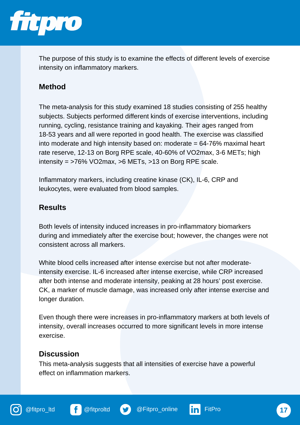

The purpose of this study is to examine the effects of different levels of exercise intensity on inflammatory markers.

# **Method**

The meta-analysis for this study examined 18 studies consisting of 255 healthy subjects. Subjects performed different kinds of exercise interventions, including running, cycling, resistance training and kayaking. Their ages ranged from 18-53 years and all were reported in good health. The exercise was classified into moderate and high intensity based on: moderate  $= 64-76\%$  maximal heart rate reserve, 12-13 on Borg RPE scale, 40-60% of VO2max, 3-6 METs; high intensity = >76% VO2max, >6 METs, >13 on Borg RPE scale.

Inflammatory markers, including creatine kinase (CK), IL-6, CRP and leukocytes, were evaluated from blood samples.

## **Results**

Both levels of intensity induced increases in pro-inflammatory biomarkers during and immediately after the exercise bout; however, the changes were not consistent across all markers.

White blood cells increased after intense exercise but not after moderateintensity exercise. IL-6 increased after intense exercise, while CRP increased after both intense and moderate intensity, peaking at 28 hours' post exercise. CK, a marker of muscle damage, was increased only after intense exercise and longer duration.

Even though there were increases in pro-inflammatory markers at both levels of intensity, overall increases occurred to more significant levels in more intense exercise.

# **Discussion**

This meta-analysis suggests that all intensities of exercise have a powerful effect on inflammation markers.



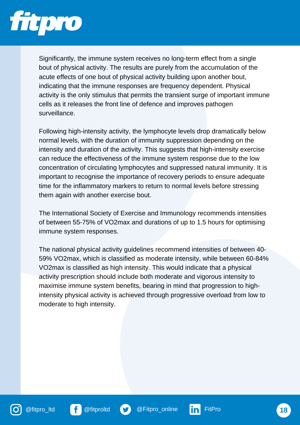

Significantly, the immune system receives no long-term effect from a single bout of physical activity. The results are purely from the accumulation of the acute effects of one bout of physical activity building upon another bout, indicating that the immune responses are frequency dependent. Physical activity is the only stimulus that permits the transient surge of important immune cells as it releases the front line of defence and improves pathogen surveillance.

Following high-intensity activity, the lymphocyte levels drop dramatically below normal levels, with the duration of immunity suppression depending on the intensity and duration of the activity. This suggests that high-intensity exercise can reduce the effectiveness of the immune system response due to the low concentration of circulating lymphocytes and suppressed natural immunity. It is important to recognise the importance of recovery periods to ensure adequate time for the inflammatory markers to return to normal levels before stressing them again with another exercise bout.

The International Society of Exercise and Immunology recommends intensities of between 55-75% of VO2max and durations of up to 1.5 hours for optimising immune system responses.

The national physical activity guidelines recommend intensities of between 40- 59% VO2max, which is classified as moderate intensity, while between 60-84% VO2max is classified as high intensity. This would indicate that a physical activity prescription should include both moderate and vigorous intensity to maximise immune system benefits, bearing in mind that progression to highintensity physical activity is achieved through progressive overload from low to moderate to high intensity.







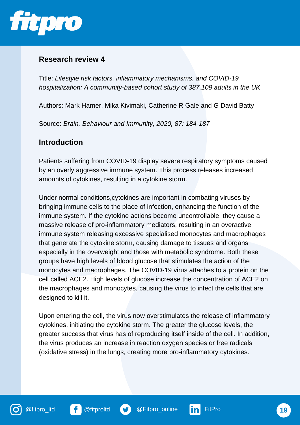

Title: *Lifestyle risk factors, inflammatory mechanisms, and COVID-19 hospitalization: A community-based cohort study of 387,109 adults in the UK*

Authors: Mark Hamer, Mika Kivimaki, Catherine R Gale and G David Batty

Source: *Brain, Behaviour and Immunity, 2020, 87: 184-187*

#### **Introduction**

Patients suffering from COVID-19 display severe respiratory symptoms caused by an overly aggressive immune system. This process releases increased amounts of cytokines, resulting in a cytokine storm.

Under normal conditions,cytokines are important in combating viruses by bringing immune cells to the place of infection, enhancing the function of the immune system. If the cytokine actions become uncontrollable, they cause a massive release of pro-inflammatory mediators, resulting in an overactive immune system releasing excessive specialised monocytes and macrophages that generate the cytokine storm, causing damage to tissues and organs especially in the overweight and those with metabolic syndrome. Both these groups have high levels of blood glucose that stimulates the action of the monocytes and macrophages. The COVID-19 virus attaches to a protein on the cell called ACE2. High levels of glucose increase the concentration of ACE2 on the macrophages and monocytes, causing the virus to infect the cells that are designed to kill it.

Upon entering the cell, the virus now overstimulates the release of inflammatory cytokines, initiating the cytokine storm. The greater the glucose levels, the greater success that virus has of reproducing itself inside of the cell. In addition, the virus produces an increase in reaction oxygen species or free radicals (oxidative stress) in the lungs, creating more pro-inflammatory cytokines.





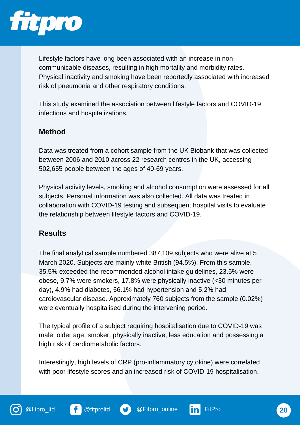

Lifestyle factors have long been associated with an increase in noncommunicable diseases, resulting in high mortality and morbidity rates. Physical inactivity and smoking have been reportedly associated with increased risk of pneumonia and other respiratory conditions.

This study examined the association between lifestyle factors and COVID-19 infections and hospitalizations.

## **Method**

Data was treated from a cohort sample from the UK Biobank that was collected between 2006 and 2010 across 22 research centres in the UK, accessing 502,655 people between the ages of 40-69 years.

Physical activity levels, smoking and alcohol consumption were assessed for all subjects. Personal information was also collected. All data was treated in collaboration with COVID-19 testing and subsequent hospital visits to evaluate the relationship between lifestyle factors and COVID-19.

## **Results**

The final analytical sample numbered 387,109 subjects who were alive at 5 March 2020. Subjects are mainly white British (94.5%). From this sample, 35.5% exceeded the recommended alcohol intake guidelines, 23.5% were obese, 9.7% were smokers, 17.8% were physically inactive (<30 minutes per day), 4.9% had diabetes, 56.1% had hypertension and 5.2% had cardiovascular disease. Approximately 760 subjects from the sample (0.02%) were eventually hospitalised during the intervening period.

The typical profile of a subject requiring hospitalisation due to COVID-19 was male, older age, smoker, physically inactive, less education and possessing a high risk of cardiometabolic factors.

Interestingly, high levels of CRP (pro-inflammatory cytokine) were correlated with poor lifestyle scores and an increased risk of COVID-19 hospitalisation.







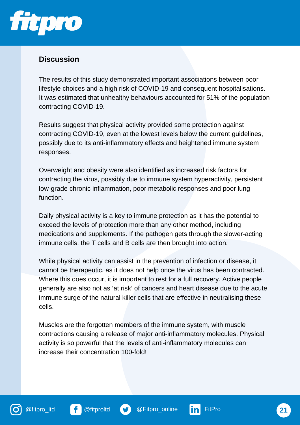

## **Discussion**

The results of this study demonstrated important associations between poor lifestyle choices and a high risk of COVID-19 and consequent hospitalisations. It was estimated that unhealthy behaviours accounted for 51% of the population contracting COVID-19.

Results suggest that physical activity provided some protection against contracting COVID-19, even at the lowest levels below the current guidelines, possibly due to its anti-inflammatory effects and heightened immune system responses.

Overweight and obesity were also identified as increased risk factors for contracting the virus, possibly due to immune system hyperactivity, persistent low-grade chronic inflammation, poor metabolic responses and poor lung function.

Daily physical activity is a key to immune protection as it has the potential to exceed the levels of protection more than any other method, including medications and supplements. If the pathogen gets through the slower-acting immune cells, the T cells and B cells are then brought into action.

While physical activity can assist in the prevention of infection or disease, it cannot be therapeutic, as it does not help once the virus has been contracted. Where this does occur, it is important to rest for a full recovery. Active people generally are also not as 'at risk' of cancers and heart disease due to the acute immune surge of the natural killer cells that are effective in neutralising these cells.

Muscles are the forgotten members of the immune system, with muscle contractions causing a release of major anti-inflammatory molecules. Physical activity is so powerful that the levels of anti-inflammatory molecules can increase their concentration 100-fold!



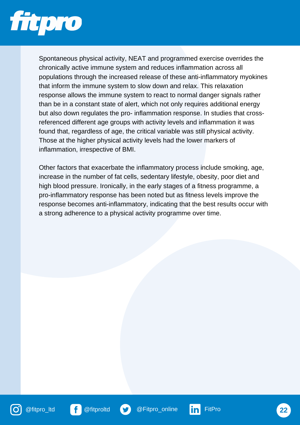

Spontaneous physical activity, NEAT and programmed exercise overrides the chronically active immune system and reduces inflammation across all populations through the increased release of these anti-inflammatory myokines that inform the immune system to slow down and relax. This relaxation response allows the immune system to react to normal danger signals rather than be in a constant state of alert, which not only requires additional energy but also down regulates the pro- inflammation response. In studies that crossreferenced different age groups with activity levels and inflammation it was found that, regardless of age, the critical variable was still physical activity. Those at the higher physical activity levels had the lower markers of inflammation, irrespective of BMI.

Other factors that exacerbate the inflammatory process include smoking, age, increase in the number of fat cells, sedentary lifestyle, obesity, poor diet and high blood pressure. Ironically, in the early stages of a fitness programme, a pro-inflammatory response has been noted but as fitness levels improve the response becomes anti-inflammatory, indicating that the best results occur with a strong adherence to a physical activity programme over time.







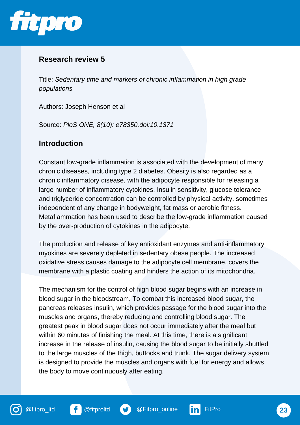

Title: *Sedentary time and markers of chronic inflammation in high grade populations*

Authors: Joseph Henson et al

Source: *PloS ONE, 8(10): e78350.doi:10.1371*

#### **Introduction**

Constant low-grade inflammation is associated with the development of many chronic diseases, including type 2 diabetes. Obesity is also regarded as a chronic inflammatory disease, with the adipocyte responsible for releasing a large number of inflammatory cytokines. Insulin sensitivity, glucose tolerance and triglyceride concentration can be controlled by physical activity, sometimes independent of any change in bodyweight, fat mass or aerobic fitness. Metaflammation has been used to describe the low-grade inflammation caused by the over-production of cytokines in the adipocyte.

The production and release of key antioxidant enzymes and anti-inflammatory myokines are severely depleted in sedentary obese people. The increased oxidative stress causes damage to the adipocyte cell membrane, covers the membrane with a plastic coating and hinders the action of its mitochondria.

The mechanism for the control of high blood sugar begins with an increase in blood sugar in the bloodstream. To combat this increased blood sugar, the pancreas releases insulin, which provides passage for the blood sugar into the muscles and organs, thereby reducing and controlling blood sugar. The greatest peak in blood sugar does not occur immediately after the meal but within 60 minutes of finishing the meal. At this time, there is a significant increase in the release of insulin, causing the blood sugar to be initially shuttled to the large muscles of the thigh, buttocks and trunk. The sugar delivery system is designed to provide the muscles and organs with fuel for energy and allows the body to move continuously after eating.





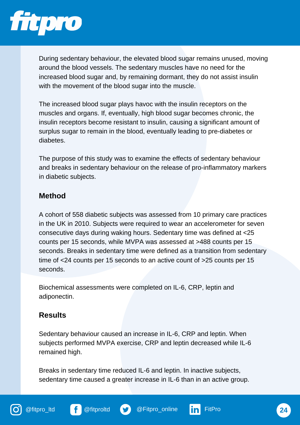

During sedentary behaviour, the elevated blood sugar remains unused, moving around the blood vessels. The sedentary muscles have no need for the increased blood sugar and, by remaining dormant, they do not assist insulin with the movement of the blood sugar into the muscle.

The increased blood sugar plays havoc with the insulin receptors on the muscles and organs. If, eventually, high blood sugar becomes chronic, the insulin receptors become resistant to insulin, causing a significant amount of surplus sugar to remain in the blood, eventually leading to pre-diabetes or diabetes.

The purpose of this study was to examine the effects of sedentary behaviour and breaks in sedentary behaviour on the release of pro-inflammatory markers in diabetic subjects.

#### **Method**

A cohort of 558 diabetic subjects was assessed from 10 primary care practices in the UK in 2010. Subjects were required to wear an accelerometer for seven consecutive days during waking hours. Sedentary time was defined at <25 counts per 15 seconds, while MVPA was assessed at >488 counts per 15 seconds. Breaks in sedentary time were defined as a transition from sedentary time of <24 counts per 15 seconds to an active count of >25 counts per 15 seconds.

Biochemical assessments were completed on IL-6, CRP, leptin and adiponectin.

#### **Results**

Sedentary behaviour caused an increase in IL-6, CRP and leptin. When subjects performed MVPA exercise, CRP and leptin decreased while IL-6 remained high.

Breaks in sedentary time reduced IL-6 and leptin. In inactive subjects, sedentary time caused a greater increase in IL-6 than in an active group.







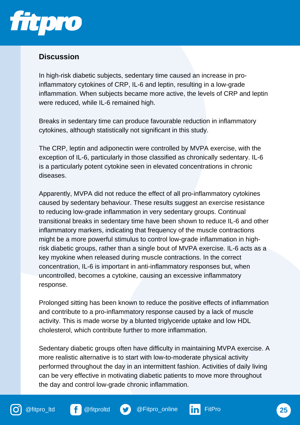

## **Discussion**

In high-risk diabetic subjects, sedentary time caused an increase in proinflammatory cytokines of CRP, IL-6 and leptin, resulting in a low-grade inflammation. When subjects became more active, the levels of CRP and leptin were reduced, while IL-6 remained high.

Breaks in sedentary time can produce favourable reduction in inflammatory cytokines, although statistically not significant in this study.

The CRP, leptin and adiponectin were controlled by MVPA exercise, with the exception of IL-6, particularly in those classified as chronically sedentary. IL-6 is a particularly potent cytokine seen in elevated concentrations in chronic diseases.

Apparently, MVPA did not reduce the effect of all pro-inflammatory cytokines caused by sedentary behaviour. These results suggest an exercise resistance to reducing low-grade inflammation in very sedentary groups. Continual transitional breaks in sedentary time have been shown to reduce IL-6 and other inflammatory markers, indicating that frequency of the muscle contractions might be a more powerful stimulus to control low-grade inflammation in highrisk diabetic groups, rather than a single bout of MVPA exercise. IL-6 acts as a key myokine when released during muscle contractions. In the correct concentration, IL-6 is important in anti-inflammatory responses but, when uncontrolled, becomes a cytokine, causing an excessive inflammatory response.

Prolonged sitting has been known to reduce the positive effects of inflammation and contribute to a pro-inflammatory response caused by a lack of muscle activity. This is made worse by a blunted triglyceride uptake and low HDL cholesterol, which contribute further to more inflammation.

Sedentary diabetic groups often have difficulty in maintaining MVPA exercise. A more realistic alternative is to start with low-to-moderate physical activity performed throughout the day in an intermittent fashion. Activities of daily living can be very effective in motivating diabetic patients to move more throughout the day and control low-grade chronic inflammation.



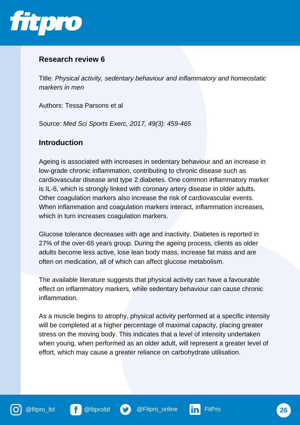

Title: *Physical activity, sedentary behaviour and inflammatory and homeostatic markers in men*

Authors: Tessa Parsons et al

Source: *Med Sci Sports Exerc, 2017, 49(3): 459-465*

#### **Introduction**

Ageing is associated with increases in sedentary behaviour and an increase in low-grade chronic inflammation, contributing to chronic disease such as cardiovascular disease and type 2 diabetes. One common inflammatory marker is IL-6, which is strongly linked with coronary artery disease in older adults. Other coagulation markers also increase the risk of cardiovascular events. When inflammation and coagulation markers interact, inflammation increases, which in turn increases coagulation markers.

Glucose tolerance decreases with age and inactivity. Diabetes is reported in 27% of the over-65 years group. During the ageing process, clients as older adults become less active, lose lean body mass, increase fat mass and are often on medication, all of which can affect glucose metabolism.

The available literature suggests that physical activity can have a favourable effect on inflammatory markers, while sedentary behaviour can cause chronic inflammation.

As a muscle begins to atrophy, physical activity performed at a specific intensity will be completed at a higher percentage of maximal capacity, placing greater stress on the moving body. This indicates that a level of intensity undertaken when young, when performed as an older adult, will represent a greater level of effort, which may cause a greater reliance on carbohydrate utilisation.





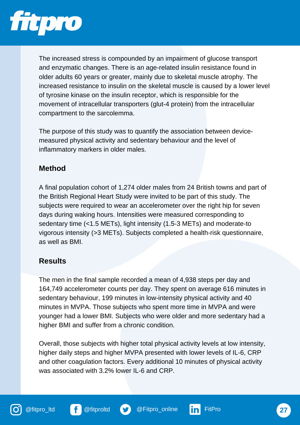

The increased stress is compounded by an impairment of glucose transport and enzymatic changes. There is an age-related insulin resistance found in older adults 60 years or greater, mainly due to skeletal muscle atrophy. The increased resistance to insulin on the skeletal muscle is caused by a lower level of tyrosine kinase on the insulin receptor, which is responsible for the movement of intracellular transporters (glut-4 protein) from the intracellular compartment to the sarcolemma.

The purpose of this study was to quantify the association between devicemeasured physical activity and sedentary behaviour and the level of inflammatory markers in older males.

# **Method**

A final population cohort of 1,274 older males from 24 British towns and part of the British Regional Heart Study were invited to be part of this study. The subjects were required to wear an accelerometer over the right hip for seven days during waking hours. Intensities were measured corresponding to sedentary time (<1.5 METs), light intensity (1.5-3 METs) and moderate-to vigorous intensity (>3 METs). Subjects completed a health-risk questionnaire, as well as BMI.

# **Results**

The men in the final sample recorded a mean of 4,938 steps per day and 164,749 accelerometer counts per day. They spent on average 616 minutes in sedentary behaviour, 199 minutes in low-intensity physical activity and 40 minutes in MVPA. Those subjects who spent more time in MVPA and were younger had a lower BMI. Subjects who were older and more sedentary had a higher BMI and suffer from a chronic condition.

Overall, those subjects with higher total physical activity levels at low intensity, higher daily steps and higher MVPA presented with lower levels of IL-6, CRP and other coagulation factors. Every additional 10 minutes of physical activity was associated with 3.2% lower IL-6 and CRP.





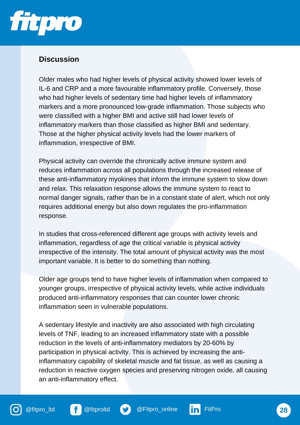

## **Discussion**

Older males who had higher levels of physical activity showed lower levels of IL-6 and CRP and a more favourable inflammatory profile. Conversely, those who had higher levels of sedentary time had higher levels of inflammatory markers and a more pronounced low-grade inflammation. Those subjects who were classified with a higher BMI and active still had lower levels of inflammatory markers than those classified as higher BMI and sedentary. Those at the higher physical activity levels had the lower markers of inflammation, irrespective of BMI.

Physical activity can override the chronically active immune system and reduces inflammation across all populations through the increased release of these anti-inflammatory myokines that inform the immune system to slow down and relax. This relaxation response allows the immune system to react to normal danger signals, rather than be in a constant state of alert, which not only requires additional energy but also down regulates the pro-inflammation response.

In studies that cross-referenced different age groups with activity levels and inflammation, regardless of age the critical variable is physical activity irrespective of the intensity. The total amount of physical activity was the most important variable. It is better to do something than nothing.

Older age groups tend to have higher levels of inflammation when compared to younger groups, irrespective of physical activity levels, while active individuals produced anti-inflammatory responses that can counter lower chronic inflammation seen in vulnerable populations.

A sedentary lifestyle and inactivity are also associated with high circulating levels of TNF, leading to an increased inflammatory state with a possible reduction in the levels of anti-inflammatory mediators by 20-60% by participation in physical activity. This is achieved by increasing the antiinflammatory capability of skeletal muscle and fat tissue, as well as causing a reduction in reactive oxygen species and preserving nitrogen oxide, all causing an anti-inflammatory effect.



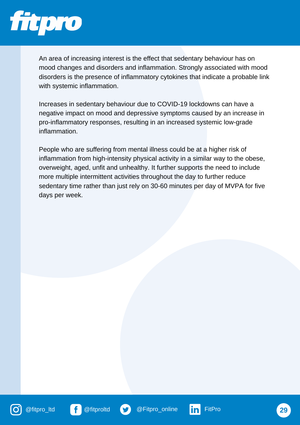

An area of increasing interest is the effect that sedentary behaviour has on mood changes and disorders and inflammation. Strongly associated with mood disorders is the presence of inflammatory cytokines that indicate a probable link with systemic inflammation.

Increases in sedentary behaviour due to COVID-19 lockdowns can have a negative impact on mood and depressive symptoms caused by an increase in pro-inflammatory responses, resulting in an increased systemic low-grade inflammation.

People who are suffering from mental illness could be at a higher risk of inflammation from high-intensity physical activity in a similar way to the obese, overweight, aged, unfit and unhealthy. It further supports the need to include more multiple intermittent activities throughout the day to further reduce sedentary time rather than just rely on 30-60 minutes per day of MVPA for five days per week.









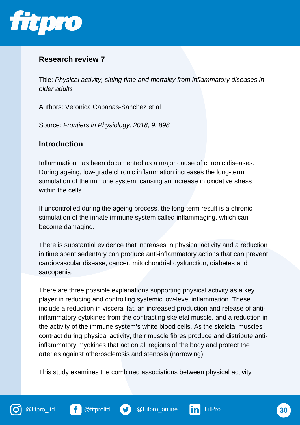

Title: *Physical activity, sitting time and mortality from inflammatory diseases in older adults*

Authors: Veronica Cabanas-Sanchez et al

Source: *Frontiers in Physiology, 2018, 9: 898*

#### **Introduction**

Inflammation has been documented as a major cause of chronic diseases. During ageing, low-grade chronic inflammation increases the long-term stimulation of the immune system, causing an increase in oxidative stress within the cells.

If uncontrolled during the ageing process, the long-term result is a chronic stimulation of the innate immune system called inflammaging, which can become damaging.

There is substantial evidence that increases in physical activity and a reduction in time spent sedentary can produce anti-inflammatory actions that can prevent cardiovascular disease, cancer, mitochondrial dysfunction, diabetes and sarcopenia.

There are three possible explanations supporting physical activity as a key player in reducing and controlling systemic low-level inflammation. These include a reduction in visceral fat, an increased production and release of antiinflammatory cytokines from the contracting skeletal muscle, and a reduction in the activity of the immune system's white blood cells. As the skeletal muscles contract during physical activity, their muscle fibres produce and distribute antiinflammatory myokines that act on all regions of the body and protect the arteries against atherosclerosis and stenosis (narrowing).

This study examines the combined associations between physical activity





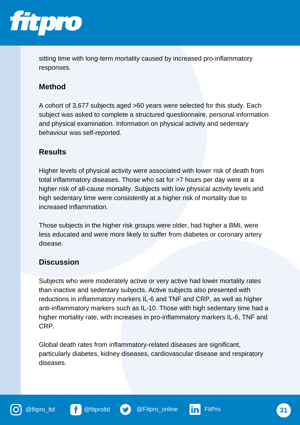

sitting time with long-term mortality caused by increased pro-inflammatory responses.

# **Method**

A cohort of 3,677 subjects aged >60 years were selected for this study. Each subject was asked to complete a structured questionnaire, personal information and physical examination. Information on physical activity and sedentary behaviour was self-reported.

## **Results**

Higher levels of physical activity were associated with lower risk of death from total inflammatory diseases. Those who sat for >7 hours per day were at a higher risk of all-cause mortality. Subjects with low physical activity levels and high sedentary time were consistently at a higher risk of mortality due to increased inflammation.

Those subjects in the higher risk groups were older, had higher a BMI, were less educated and were more likely to suffer from diabetes or coronary artery disease.

## **Discussion**

Subjects who were moderately active or very active had lower mortality rates than inactive and sedentary subjects. Active subjects also presented with reductions in inflammatory markers IL-6 and TNF and CRP, as well as higher anti-inflammatory markers such as IL-10. Those with high sedentary time had a higher mortality rate, with increases in pro-inflammatory markers IL-6, TNF and CRP.

Global death rates from inflammatory-related diseases are significant, particularly diabetes, kidney diseases, cardiovascular disease and respiratory diseases.





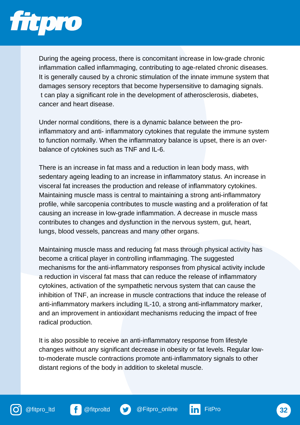

During the ageing process, there is concomitant increase in low-grade chronic inflammation called inflammaging, contributing to age-related chronic diseases. It is generally caused by a chronic stimulation of the innate immune system that damages sensory receptors that become hypersensitive to damaging signals. t can play a significant role in the development of atherosclerosis, diabetes, cancer and heart disease.

Under normal conditions, there is a dynamic balance between the proinflammatory and anti- inflammatory cytokines that regulate the immune system to function normally. When the inflammatory balance is upset, there is an overbalance of cytokines such as TNF and IL-6.

There is an increase in fat mass and a reduction in lean body mass, with sedentary ageing leading to an increase in inflammatory status. An increase in visceral fat increases the production and release of inflammatory cytokines. Maintaining muscle mass is central to maintaining a strong anti-inflammatory profile, while sarcopenia contributes to muscle wasting and a proliferation of fat causing an increase in low-grade inflammation. A decrease in muscle mass contributes to changes and dysfunction in the nervous system, gut, heart, lungs, blood vessels, pancreas and many other organs.

Maintaining muscle mass and reducing fat mass through physical activity has become a critical player in controlling inflammaging. The suggested mechanisms for the anti-inflammatory responses from physical activity include a reduction in visceral fat mass that can reduce the release of inflammatory cytokines, activation of the sympathetic nervous system that can cause the inhibition of TNF, an increase in muscle contractions that induce the release of anti-inflammatory markers including IL-10, a strong anti-inflammatory marker, and an improvement in antioxidant mechanisms reducing the impact of free radical production.

It is also possible to receive an anti-inflammatory response from lifestyle changes without any significant decrease in obesity or fat levels. Regular lowto-moderate muscle contractions promote anti-inflammatory signals to other distant regions of the body in addition to skeletal muscle.



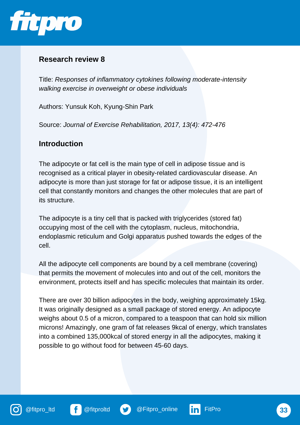

Title: *Responses of inflammatory cytokines following moderate-intensity walking exercise in overweight or obese individuals*

Authors: Yunsuk Koh, Kyung-Shin Park

Source: *Journal of Exercise Rehabilitation, 2017, 13(4): 472-476*

#### **Introduction**

The adipocyte or fat cell is the main type of cell in adipose tissue and is recognised as a critical player in obesity-related cardiovascular disease. An adipocyte is more than just storage for fat or adipose tissue, it is an intelligent cell that constantly monitors and changes the other molecules that are part of its structure.

The adipocyte is a tiny cell that is packed with triglycerides (stored fat) occupying most of the cell with the cytoplasm, nucleus, mitochondria, endoplasmic reticulum and Golgi apparatus pushed towards the edges of the cell.

All the adipocyte cell components are bound by a cell membrane (covering) that permits the movement of molecules into and out of the cell, monitors the environment, protects itself and has specific molecules that maintain its order.

There are over 30 billion adipocytes in the body, weighing approximately 15kg. It was originally designed as a small package of stored energy. An adipocyte weighs about 0.5 of a micron, compared to a teaspoon that can hold six million microns! Amazingly, one gram of fat releases 9kcal of energy, which translates into a combined 135,000kcal of stored energy in all the adipocytes, making it possible to go without food for between 45-60 days.





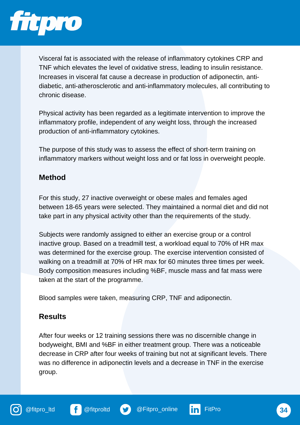

Visceral fat is associated with the release of inflammatory cytokines CRP and TNF which elevates the level of oxidative stress, leading to insulin resistance. Increases in visceral fat cause a decrease in production of adiponectin, antidiabetic, anti-atherosclerotic and anti-inflammatory molecules, all contributing to chronic disease.

Physical activity has been regarded as a legitimate intervention to improve the inflammatory profile, independent of any weight loss, through the increased production of anti-inflammatory cytokines.

The purpose of this study was to assess the effect of short-term training on inflammatory markers without weight loss and or fat loss in overweight people.

## **Method**

For this study, 27 inactive overweight or obese males and females aged between 18-65 years were selected. They maintained a normal diet and did not take part in any physical activity other than the requirements of the study.

Subjects were randomly assigned to either an exercise group or a control inactive group. Based on a treadmill test, a workload equal to 70% of HR max was determined for the exercise group. The exercise intervention consisted of walking on a treadmill at 70% of HR max for 60 minutes three times per week. Body composition measures including %BF, muscle mass and fat mass were taken at the start of the programme.

Blood samples were taken, measuring CRP, TNF and adiponectin.

## **Results**

After four weeks or 12 training sessions there was no discernible change in bodyweight, BMI and %BF in either treatment group. There was a noticeable decrease in CRP after four weeks of training but not at significant levels. There was no difference in adiponectin levels and a decrease in TNF in the exercise group.





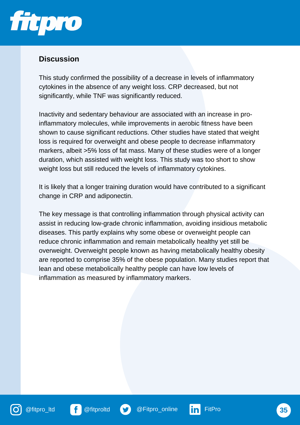

## **Discussion**

This study confirmed the possibility of a decrease in levels of inflammatory cytokines in the absence of any weight loss. CRP decreased, but not significantly, while TNF was significantly reduced.

Inactivity and sedentary behaviour are associated with an increase in proinflammatory molecules, while improvements in aerobic fitness have been shown to cause significant reductions. Other studies have stated that weight loss is required for overweight and obese people to decrease inflammatory markers, albeit >5% loss of fat mass. Many of these studies were of a longer duration, which assisted with weight loss. This study was too short to show weight loss but still reduced the levels of inflammatory cytokines.

It is likely that a longer training duration would have contributed to a significant change in CRP and adiponectin.

The key message is that controlling inflammation through physical activity can assist in reducing low-grade chronic inflammation, avoiding insidious metabolic diseases. This partly explains why some obese or overweight people can reduce chronic inflammation and remain metabolically healthy yet still be overweight. Overweight people known as having metabolically healthy obesity are reported to comprise 35% of the obese population. Many studies report that lean and obese metabolically healthy people can have low levels of inflammation as measured by inflammatory markers.



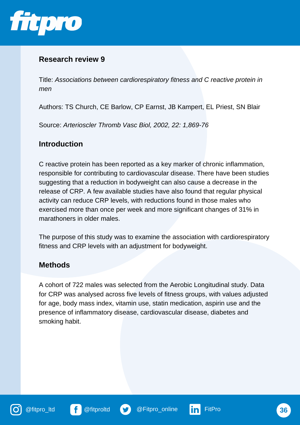

Title: *Associations between cardiorespiratory fitness and C reactive protein in men*

Authors: TS Church, CE Barlow, CP Earnst, JB Kampert, EL Priest, SN Blair

Source: *Arterioscler Thromb Vasc Biol, 2002, 22: 1,869-76*

#### **Introduction**

C reactive protein has been reported as a key marker of chronic inflammation, responsible for contributing to cardiovascular disease. There have been studies suggesting that a reduction in bodyweight can also cause a decrease in the release of CRP. A few available studies have also found that regular physical activity can reduce CRP levels, with reductions found in those males who exercised more than once per week and more significant changes of 31% in marathoners in older males.

The purpose of this study was to examine the association with cardiorespiratory fitness and CRP levels with an adjustment for bodyweight.

## **Methods**

A cohort of 722 males was selected from the Aerobic Longitudinal study. Data for CRP was analysed across five levels of fitness groups, with values adjusted for age, body mass index, vitamin use, statin medication, aspirin use and the presence of inflammatory disease, cardiovascular disease, diabetes and smoking habit.







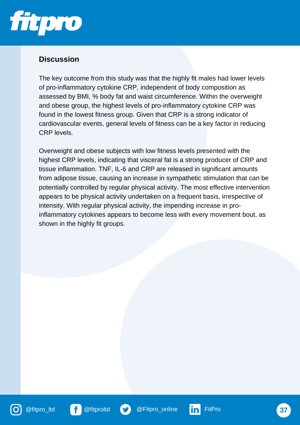

## **Discussion**

The key outcome from this study was that the highly fit males had lower levels of pro-inflammatory cytokine CRP, independent of body composition as assessed by BMI, % body fat and waist circumference. Within the overweight and obese group, the highest levels of pro-inflammatory cytokine CRP was found in the lowest fitness group. Given that CRP is a strong indicator of cardiovascular events, general levels of fitness can be a key factor in reducing CRP levels.

Overweight and obese subjects with low fitness levels presented with the highest CRP levels, indicating that visceral fat is a strong producer of CRP and tissue inflammation. TNF, IL-6 and CRP are released in significant amounts from adipose tissue, causing an increase in sympathetic stimulation that can be potentially controlled by regular physical activity. The most effective intervention appears to be physical activity undertaken on a frequent basis, irrespective of intensity. With regular physical activity, the impending increase in proinflammatory cytokines appears to become less with every movement bout, as shown in the highly fit groups.







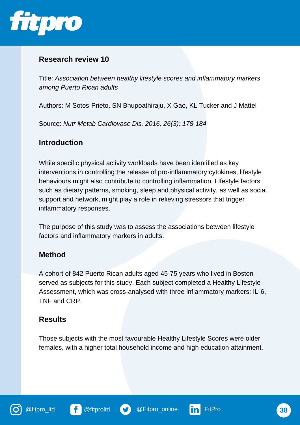

Title: *Association between healthy lifestyle scores and inflammatory markers among Puerto Rican adults*

Authors: M Sotos-Prieto, SN Bhupoathiraju, X Gao, KL Tucker and J Mattel

Source: *Nutr Metab Cardiovasc Dis, 2016, 26(3): 178-184*

#### **Introduction**

While specific physical activity workloads have been identified as key interventions in controlling the release of pro-inflammatory cytokines, lifestyle behaviours might also contribute to controlling inflammation. Lifestyle factors such as dietary patterns, smoking, sleep and physical activity, as well as social support and network, might play a role in relieving stressors that trigger inflammatory responses.

The purpose of this study was to assess the associations between lifestyle factors and inflammatory markers in adults.

#### **Method**

A cohort of 842 Puerto Rican adults aged 45-75 years who lived in Boston served as subjects for this study. Each subject completed a Healthy Lifestyle Assessment, which was cross-analysed with three inflammatory markers: IL-6, TNF and CRP.

## **Results**

Those subjects with the most favourable Healthy Lifestyle Scores were older females, with a higher total household income and high education attainment.



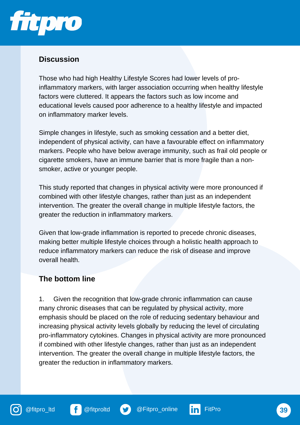

# **Discussion**

Those who had high Healthy Lifestyle Scores had lower levels of proinflammatory markers, with larger association occurring when healthy lifestyle factors were cluttered. It appears the factors such as low income and educational levels caused poor adherence to a healthy lifestyle and impacted on inflammatory marker levels.

Simple changes in lifestyle, such as smoking cessation and a better diet, independent of physical activity, can have a favourable effect on inflammatory markers. People who have below average immunity, such as frail old people or cigarette smokers, have an immune barrier that is more fragile than a nonsmoker, active or younger people.

This study reported that changes in physical activity were more pronounced if combined with other lifestyle changes, rather than just as an independent intervention. The greater the overall change in multiple lifestyle factors, the greater the reduction in inflammatory markers.

Given that low-grade inflammation is reported to precede chronic diseases, making better multiple lifestyle choices through a holistic health approach to reduce inflammatory markers can reduce the risk of disease and improve overall health.

## **The bottom line**

1. Given the recognition that low-grade chronic inflammation can cause many chronic diseases that can be regulated by physical activity, more emphasis should be placed on the role of reducing sedentary behaviour and increasing physical activity levels globally by reducing the level of circulating pro-inflammatory cytokines. Changes in physical activity are more pronounced if combined with other lifestyle changes, rather than just as an independent intervention. The greater the overall change in multiple lifestyle factors, the greater the reduction in inflammatory markers.



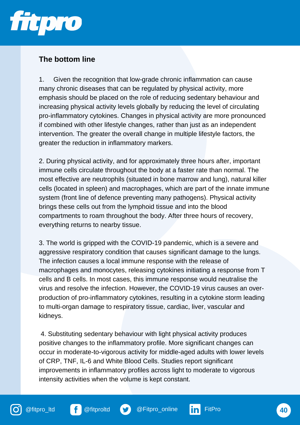

# **The bottom line**

1. Given the recognition that low-grade chronic inflammation can cause many chronic diseases that can be regulated by physical activity, more emphasis should be placed on the role of reducing sedentary behaviour and increasing physical activity levels globally by reducing the level of circulating pro-inflammatory cytokines. Changes in physical activity are more pronounced if combined with other lifestyle changes, rather than just as an independent intervention. The greater the overall change in multiple lifestyle factors, the greater the reduction in inflammatory markers.

2. During physical activity, and for approximately three hours after, important immune cells circulate throughout the body at a faster rate than normal. The most effective are neutrophils (situated in bone marrow and lung), natural killer cells (located in spleen) and macrophages, which are part of the innate immune system (front line of defence preventing many pathogens). Physical activity brings these cells out from the lymphoid tissue and into the blood compartments to roam throughout the body. After three hours of recovery, everything returns to nearby tissue.

3. The world is gripped with the COVID-19 pandemic, which is a severe and aggressive respiratory condition that causes significant damage to the lungs. The infection causes a local immune response with the release of macrophages and monocytes, releasing cytokines initiating a response from T cells and B cells. In most cases, this immune response would neutralise the virus and resolve the infection. However, the COVID-19 virus causes an overproduction of pro-inflammatory cytokines, resulting in a cytokine storm leading to multi-organ damage to respiratory tissue, cardiac, liver, vascular and kidneys.

4. Substituting sedentary behaviour with light physical activity produces positive changes to the inflammatory profile. More significant changes can occur in moderate-to-vigorous activity for middle-aged adults with lower levels of CRP, TNF, IL-6 and White Blood Cells. Studies report significant improvements in inflammatory profiles across light to moderate to vigorous intensity activities when the volume is kept constant.

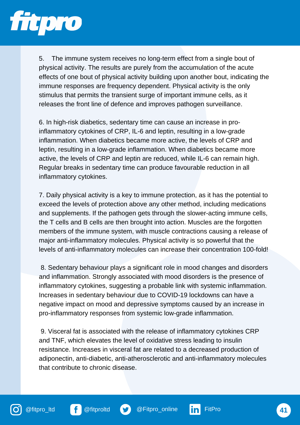

5. The immune system receives no long-term effect from a single bout of physical activity. The results are purely from the accumulation of the acute effects of one bout of physical activity building upon another bout, indicating the immune responses are frequency dependent. Physical activity is the only stimulus that permits the transient surge of important immune cells, as it releases the front line of defence and improves pathogen surveillance.

6. In high-risk diabetics, sedentary time can cause an increase in proinflammatory cytokines of CRP, IL-6 and leptin, resulting in a low-grade inflammation. When diabetics became more active, the levels of CRP and leptin, resulting in a low-grade inflammation. When diabetics became more active, the levels of CRP and leptin are reduced, while IL-6 can remain high. Regular breaks in sedentary time can produce favourable reduction in all inflammatory cytokines.

7. Daily physical activity is a key to immune protection, as it has the potential to exceed the levels of protection above any other method, including medications and supplements. If the pathogen gets through the slower-acting immune cells, the T cells and B cells are then brought into action. Muscles are the forgotten members of the immune system, with muscle contractions causing a release of major anti-inflammatory molecules. Physical activity is so powerful that the levels of anti-inflammatory molecules can increase their concentration 100-fold!

8. Sedentary behaviour plays a significant role in mood changes and disorders and inflammation. Strongly associated with mood disorders is the presence of inflammatory cytokines, suggesting a probable link with systemic inflammation. Increases in sedentary behaviour due to COVID-19 lockdowns can have a negative impact on mood and depressive symptoms caused by an increase in pro-inflammatory responses from systemic low-grade inflammation.

9. Visceral fat is associated with the release of inflammatory cytokines CRP and TNF, which elevates the level of oxidative stress leading to insulin resistance. Increases in visceral fat are related to a decreased production of adiponectin, anti-diabetic, anti-atherosclerotic and anti-inflammatory molecules that contribute to chronic disease.